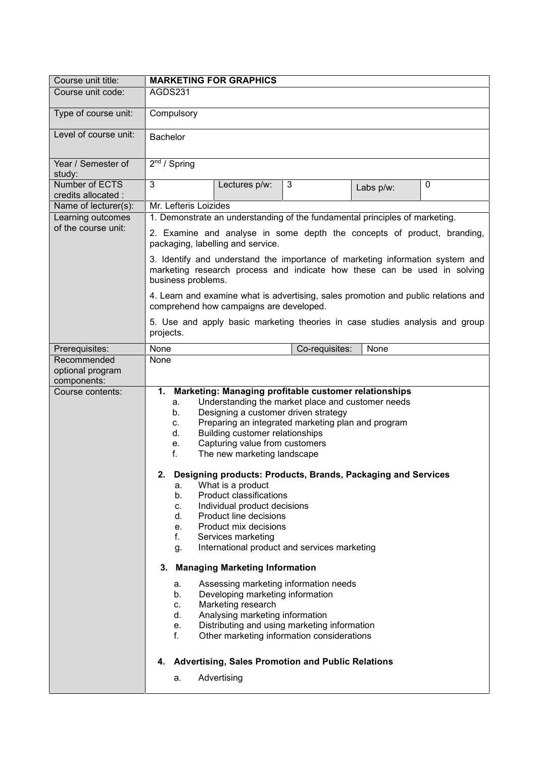| Course unit title:                       | <b>MARKETING FOR GRAPHICS</b>                                                                                                                                                   |                                                                                                                                                                                                                                                                                                                                                                                                                                                |                                                                                                                                                                                                                                                                                                                                                                                                                                                                                        |           |             |  |
|------------------------------------------|---------------------------------------------------------------------------------------------------------------------------------------------------------------------------------|------------------------------------------------------------------------------------------------------------------------------------------------------------------------------------------------------------------------------------------------------------------------------------------------------------------------------------------------------------------------------------------------------------------------------------------------|----------------------------------------------------------------------------------------------------------------------------------------------------------------------------------------------------------------------------------------------------------------------------------------------------------------------------------------------------------------------------------------------------------------------------------------------------------------------------------------|-----------|-------------|--|
| Course unit code:                        | AGDS231                                                                                                                                                                         |                                                                                                                                                                                                                                                                                                                                                                                                                                                |                                                                                                                                                                                                                                                                                                                                                                                                                                                                                        |           |             |  |
| Type of course unit:                     | Compulsory                                                                                                                                                                      |                                                                                                                                                                                                                                                                                                                                                                                                                                                |                                                                                                                                                                                                                                                                                                                                                                                                                                                                                        |           |             |  |
| Level of course unit:                    | <b>Bachelor</b>                                                                                                                                                                 |                                                                                                                                                                                                                                                                                                                                                                                                                                                |                                                                                                                                                                                                                                                                                                                                                                                                                                                                                        |           |             |  |
| Year / Semester of<br>study:             | $\overline{2^{nd}}$ / Spring                                                                                                                                                    |                                                                                                                                                                                                                                                                                                                                                                                                                                                |                                                                                                                                                                                                                                                                                                                                                                                                                                                                                        |           |             |  |
| Number of ECTS<br>credits allocated :    | 3                                                                                                                                                                               | Lectures p/w:                                                                                                                                                                                                                                                                                                                                                                                                                                  | 3                                                                                                                                                                                                                                                                                                                                                                                                                                                                                      | Labs p/w: | $\mathbf 0$ |  |
| Name of lecturer(s):                     | Mr. Lefteris Loizides                                                                                                                                                           |                                                                                                                                                                                                                                                                                                                                                                                                                                                |                                                                                                                                                                                                                                                                                                                                                                                                                                                                                        |           |             |  |
| Learning outcomes<br>of the course unit: | 1. Demonstrate an understanding of the fundamental principles of marketing.                                                                                                     |                                                                                                                                                                                                                                                                                                                                                                                                                                                |                                                                                                                                                                                                                                                                                                                                                                                                                                                                                        |           |             |  |
|                                          | 2. Examine and analyse in some depth the concepts of product, branding,<br>packaging, labelling and service.                                                                    |                                                                                                                                                                                                                                                                                                                                                                                                                                                |                                                                                                                                                                                                                                                                                                                                                                                                                                                                                        |           |             |  |
|                                          | 3. Identify and understand the importance of marketing information system and<br>marketing research process and indicate how these can be used in solving<br>business problems. |                                                                                                                                                                                                                                                                                                                                                                                                                                                |                                                                                                                                                                                                                                                                                                                                                                                                                                                                                        |           |             |  |
|                                          | 4. Learn and examine what is advertising, sales promotion and public relations and<br>comprehend how campaigns are developed.                                                   |                                                                                                                                                                                                                                                                                                                                                                                                                                                |                                                                                                                                                                                                                                                                                                                                                                                                                                                                                        |           |             |  |
|                                          | 5. Use and apply basic marketing theories in case studies analysis and group<br>projects.                                                                                       |                                                                                                                                                                                                                                                                                                                                                                                                                                                |                                                                                                                                                                                                                                                                                                                                                                                                                                                                                        |           |             |  |
| Prerequisites:                           | None                                                                                                                                                                            |                                                                                                                                                                                                                                                                                                                                                                                                                                                | Co-requisites:                                                                                                                                                                                                                                                                                                                                                                                                                                                                         | None      |             |  |
| Recommended                              | None                                                                                                                                                                            |                                                                                                                                                                                                                                                                                                                                                                                                                                                |                                                                                                                                                                                                                                                                                                                                                                                                                                                                                        |           |             |  |
| optional program<br>components:          |                                                                                                                                                                                 |                                                                                                                                                                                                                                                                                                                                                                                                                                                |                                                                                                                                                                                                                                                                                                                                                                                                                                                                                        |           |             |  |
| Course contents:                         | 1.<br>a.<br>b.<br>C.<br>d.<br>e.<br>f.<br>а.<br>b.<br>c.<br>d.<br>e.<br>f.<br>g.<br>3.<br>а.<br>b.<br>c.<br>d.<br>e.<br>f.<br>4.                                                | Designing a customer driven strategy<br>Building customer relationships<br>Capturing value from customers<br>The new marketing landscape<br>What is a product<br><b>Product classifications</b><br>Individual product decisions<br>Product line decisions<br>Product mix decisions<br>Services marketing<br><b>Managing Marketing Information</b><br>Developing marketing information<br>Marketing research<br>Analysing marketing information | Marketing: Managing profitable customer relationships<br>Understanding the market place and customer needs<br>Preparing an integrated marketing plan and program<br>2. Designing products: Products, Brands, Packaging and Services<br>International product and services marketing<br>Assessing marketing information needs<br>Distributing and using marketing information<br>Other marketing information considerations<br><b>Advertising, Sales Promotion and Public Relations</b> |           |             |  |
|                                          | a.                                                                                                                                                                              | Advertising                                                                                                                                                                                                                                                                                                                                                                                                                                    |                                                                                                                                                                                                                                                                                                                                                                                                                                                                                        |           |             |  |
|                                          |                                                                                                                                                                                 |                                                                                                                                                                                                                                                                                                                                                                                                                                                |                                                                                                                                                                                                                                                                                                                                                                                                                                                                                        |           |             |  |